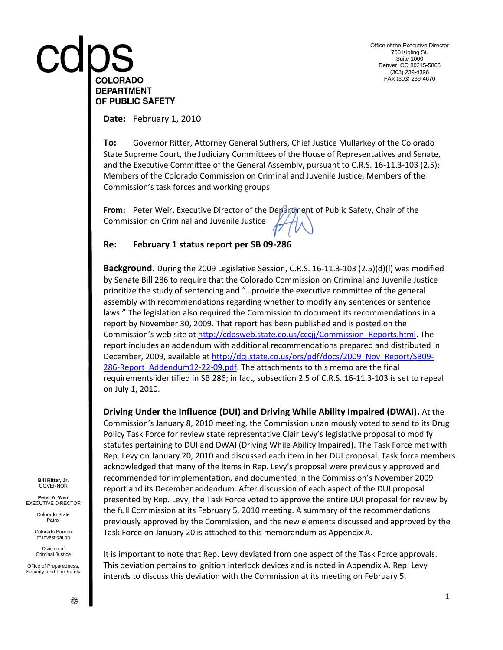# COLORADO **DEPARTMENT** OF PUBLIC SAFETY

Office of the Executive Director 700 Kipling St. Suite 1000 Denver, CO 80215-5865 (303) 239-4398 FAX (303) 239-4670

**Date:** February 1, 2010

**To:** Governor Ritter, Attorney General Suthers, Chief Justice Mullarkey of the Colorado State Supreme Court, the Judiciary Committees of the House of Representatives and Senate, and the Executive Committee of the General Assembly, pursuant to C.R.S. 16-11.3-103 (2.5); Members of the Colorado Commission on Criminal and Juvenile Justice; Members of the Commission's task forces and working groups

**From:** Peter Weir, Executive Director of the Department of Public Safety, Chair of the Commission on Criminal and Juvenile Justice

#### **Re: February 1 status report per SB 09-286**

**Background.** During the 2009 Legislative Session, C.R.S. 16-11.3-103 (2.5)(d)(l) was modified by Senate Bill 286 to require that the Colorado Commission on Criminal and Juvenile Justice prioritize the study of sentencing and "…provide the executive committee of the general assembly with recommendations regarding whether to modify any sentences or sentence laws." The legislation also required the Commission to document its recommendations in a report by November 30, 2009. That report has been published and is posted on the Commission's web site at [http://cdpsweb.state.co.us/cccjj/Commission\\_Reports.html.](http://cdpsweb.state.co.us/cccjj/Commission_Reports.html) The report includes an addendum with additional recommendations prepared and distributed in December, 2009, available at [http://dcj.state.co.us/ors/pdf/docs/2009\\_Nov\\_Report/SB09-](http://dcj.state.co.us/ors/pdf/docs/2009_Nov_Report/SB09-286-Report_Addendum12-22-09.pdf) 286-Report Addendum12-22-09.pdf. The attachments to this memo are the final requirements identified in SB 286; in fact, subsection 2.5 of C.R.S. 16-11.3-103 is set to repeal on July 1, 2010.

**Driving Under the Influence (DUI) and Driving While Ability Impaired (DWAI).** At the Commission's January 8, 2010 meeting, the Commission unanimously voted to send to its Drug Policy Task Force for review state representative Clair Levy's legislative proposal to modify statutes pertaining to DUI and DWAI (Driving While Ability Impaired). The Task Force met with Rep. Levy on January 20, 2010 and discussed each item in her DUI proposal. Task force members acknowledged that many of the items in Rep. Levy's proposal were previously approved and recommended for implementation, and documented in the Commission's November 2009 report and its December addendum. After discussion of each aspect of the DUI proposal presented by Rep. Levy, the Task Force voted to approve the entire DUI proposal for review by the full Commission at its February 5, 2010 meeting. A summary of the recommendations previously approved by the Commission, and the new elements discussed and approved by the Task Force on January 20 is attached to this memorandum as Appendix A.

It is important to note that Rep. Levy deviated from one aspect of the Task Force approvals. This deviation pertains to ignition interlock devices and is noted in Appendix A. Rep. Levy intends to discuss this deviation with the Commission at its meeting on February 5.

**Bill Ritter, Jr.** GOVERNOR

**Peter A. Weir** EXECUTIVE DIRECTOR

> Colorado State Patrol

Colorado Bureau of Investigation

Division of Criminal Justice

Office of Preparedness, Security, and Fire Safety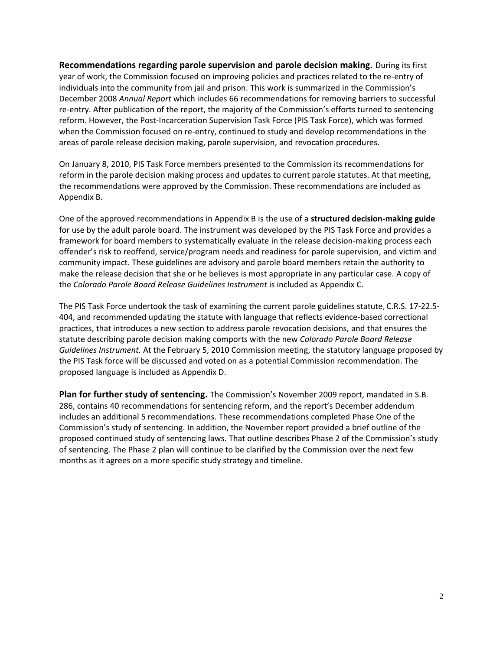**Recommendations regarding parole supervision and parole decision making.** During its first year of work, the Commission focused on improving policies and practices related to the re-entry of individuals into the community from jail and prison. This work is summarized in the Commission's December 2008 *Annual Report* which includes 66 recommendations for removing barriers to successful re-entry. After publication of the report, the majority of the Commission's efforts turned to sentencing reform. However, the Post-Incarceration Supervision Task Force (PIS Task Force), which was formed when the Commission focused on re-entry, continued to study and develop recommendations in the areas of parole release decision making, parole supervision, and revocation procedures.

On January 8, 2010, PIS Task Force members presented to the Commission its recommendations for reform in the parole decision making process and updates to current parole statutes. At that meeting, the recommendations were approved by the Commission. These recommendations are included as Appendix B.

One of the approved recommendations in Appendix B is the use of a **structured decision-making guide** for use by the adult parole board. The instrument was developed by the PIS Task Force and provides a framework for board members to systematically evaluate in the release decision-making process each offender's risk to reoffend, service/program needs and readiness for parole supervision, and victim and community impact. These guidelines are advisory and parole board members retain the authority to make the release decision that she or he believes is most appropriate in any particular case. A copy of the *Colorado Parole Board Release Guidelines Instrument* is included as Appendix C.

The PIS Task Force undertook the task of examining the current parole guidelines statute, C.R.S. 17-22.5- 404, and recommended updating the statute with language that reflects evidence-based correctional practices, that introduces a new section to address parole revocation decisions, and that ensures the statute describing parole decision making comports with the new *Colorado Parole Board Release Guidelines Instrument.* At the February 5, 2010 Commission meeting, the statutory language proposed by the PIS Task force will be discussed and voted on as a potential Commission recommendation. The proposed language is included as Appendix D.

**Plan for further study of sentencing.** The Commission's November 2009 report, mandated in S.B. 286, contains 40 recommendations for sentencing reform, and the report's December addendum includes an additional 5 recommendations. These recommendations completed Phase One of the Commission's study of sentencing. In addition, the November report provided a brief outline of the proposed continued study of sentencing laws. That outline describes Phase 2 of the Commission's study of sentencing. The Phase 2 plan will continue to be clarified by the Commission over the next few months as it agrees on a more specific study strategy and timeline.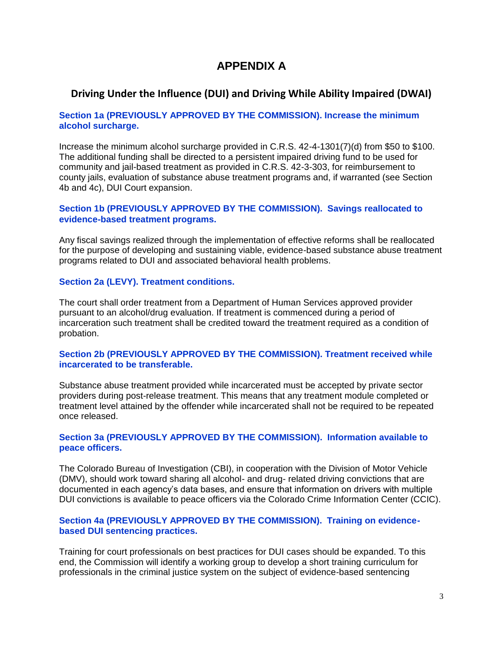# **APPENDIX A**

## **Driving Under the Influence (DUI) and Driving While Ability Impaired (DWAI)**

#### **Section 1a (PREVIOUSLY APPROVED BY THE COMMISSION). Increase the minimum alcohol surcharge.**

Increase the minimum alcohol surcharge provided in C.R.S. 42-4-1301(7)(d) from \$50 to \$100. The additional funding shall be directed to a persistent impaired driving fund to be used for community and jail-based treatment as provided in C.R.S. 42-3-303, for reimbursement to county jails, evaluation of substance abuse treatment programs and, if warranted (see Section 4b and 4c), DUI Court expansion.

#### **Section 1b (PREVIOUSLY APPROVED BY THE COMMISSION). Savings reallocated to evidence-based treatment programs.**

Any fiscal savings realized through the implementation of effective reforms shall be reallocated for the purpose of developing and sustaining viable, evidence-based substance abuse treatment programs related to DUI and associated behavioral health problems.

#### **Section 2a (LEVY). Treatment conditions.**

The court shall order treatment from a Department of Human Services approved provider pursuant to an alcohol/drug evaluation. If treatment is commenced during a period of incarceration such treatment shall be credited toward the treatment required as a condition of probation.

#### **Section 2b (PREVIOUSLY APPROVED BY THE COMMISSION). Treatment received while incarcerated to be transferable.**

Substance abuse treatment provided while incarcerated must be accepted by private sector providers during post-release treatment. This means that any treatment module completed or treatment level attained by the offender while incarcerated shall not be required to be repeated once released.

#### **Section 3a (PREVIOUSLY APPROVED BY THE COMMISSION). Information available to peace officers.**

The Colorado Bureau of Investigation (CBI), in cooperation with the Division of Motor Vehicle (DMV), should work toward sharing all alcohol- and drug- related driving convictions that are documented in each agency's data bases, and ensure that information on drivers with multiple DUI convictions is available to peace officers via the Colorado Crime Information Center (CCIC).

#### **Section 4a (PREVIOUSLY APPROVED BY THE COMMISSION). Training on evidencebased DUI sentencing practices.**

Training for court professionals on best practices for DUI cases should be expanded. To this end, the Commission will identify a working group to develop a short training curriculum for professionals in the criminal justice system on the subject of evidence-based sentencing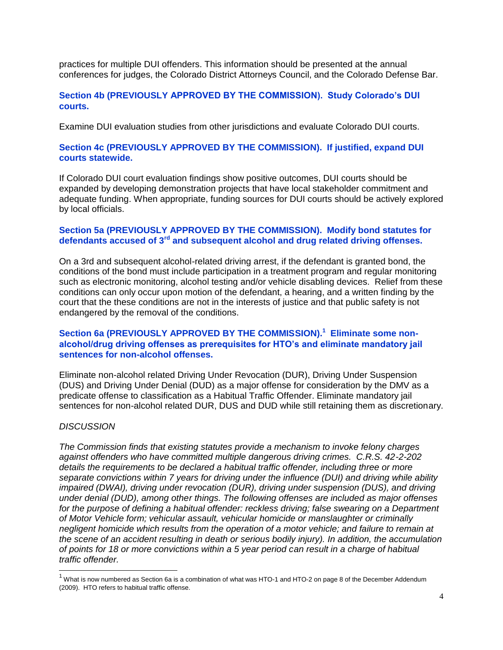practices for multiple DUI offenders. This information should be presented at the annual conferences for judges, the Colorado District Attorneys Council, and the Colorado Defense Bar.

#### **Section 4b (PREVIOUSLY APPROVED BY THE COMMISSION). Study Colorado's DUI courts.**

Examine DUI evaluation studies from other jurisdictions and evaluate Colorado DUI courts.

#### **Section 4c (PREVIOUSLY APPROVED BY THE COMMISSION). If justified, expand DUI courts statewide.**

If Colorado DUI court evaluation findings show positive outcomes, DUI courts should be expanded by developing demonstration projects that have local stakeholder commitment and adequate funding. When appropriate, funding sources for DUI courts should be actively explored by local officials.

#### **Section 5a (PREVIOUSLY APPROVED BY THE COMMISSION). Modify bond statutes for defendants accused of 3rd and subsequent alcohol and drug related driving offenses.**

On a 3rd and subsequent alcohol-related driving arrest, if the defendant is granted bond, the conditions of the bond must include participation in a treatment program and regular monitoring such as electronic monitoring, alcohol testing and/or vehicle disabling devices. Relief from these conditions can only occur upon motion of the defendant, a hearing, and a written finding by the court that the these conditions are not in the interests of justice and that public safety is not endangered by the removal of the conditions.

#### **Section 6a (PREVIOUSLY APPROVED BY THE COMMISSION).<sup>1</sup> Eliminate some nonalcohol/drug driving offenses as prerequisites for HTO's and eliminate mandatory jail sentences for non-alcohol offenses.**

Eliminate non-alcohol related Driving Under Revocation (DUR), Driving Under Suspension (DUS) and Driving Under Denial (DUD) as a major offense for consideration by the DMV as a predicate offense to classification as a Habitual Traffic Offender. Eliminate mandatory jail sentences for non-alcohol related DUR, DUS and DUD while still retaining them as discretionary.

#### *DISCUSSION*

l

*The Commission finds that existing statutes provide a mechanism to invoke felony charges against offenders who have committed multiple dangerous driving crimes. C.R.S. 42-2-202 details the requirements to be declared a habitual traffic offender, including three or more separate convictions within 7 years for driving under the influence (DUI) and driving while ability impaired (DWAI), driving under revocation (DUR), driving under suspension (DUS), and driving under denial (DUD), among other things. The following offenses are included as major offenses*  for the purpose of defining a habitual offender: reckless driving; false swearing on a Department *of Motor Vehicle form; vehicular assault, vehicular homicide or manslaughter or criminally negligent homicide which results from the operation of a motor vehicle; and failure to remain at the scene of an accident resulting in death or serious bodily injury). In addition, the accumulation of points for 18 or more convictions within a 5 year period can result in a charge of habitual traffic offender.*

 $1$  What is now numbered as Section 6a is a combination of what was HTO-1 and HTO-2 on page 8 of the December Addendum (2009). HTO refers to habitual traffic offense.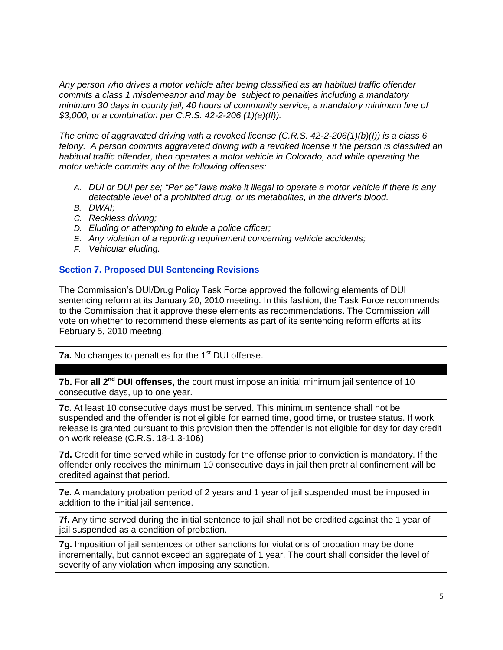*Any person who drives a motor vehicle after being classified as an habitual traffic offender commits a class 1 misdemeanor and may be subject to penalties including a mandatory minimum 30 days in county jail, 40 hours of community service, a mandatory minimum fine of \$3,000, or a combination per C.R.S. 42-2-206 (1)(a)(II)).*

*The crime of aggravated driving with a revoked license (C.R.S. 42-2-206(1)(b)(I)) is a class 6 felony. A person commits aggravated driving with a revoked license if the person is classified an habitual traffic offender, then operates a motor vehicle in Colorado, and while operating the motor vehicle commits any of the following offenses:*

- *A. DUI or DUI per se; "Per se" laws make it illegal to operate a motor vehicle if there is any detectable level of a prohibited drug, or its metabolites, in the driver's blood.*
- *B. DWAI;*
- *C. Reckless driving;*
- *D. Eluding or attempting to elude a police officer;*
- *E. Any violation of a reporting requirement concerning vehicle accidents;*
- *F. Vehicular eluding.*

#### **Section 7. Proposed DUI Sentencing Revisions**

The Commission's DUI/Drug Policy Task Force approved the following elements of DUI sentencing reform at its January 20, 2010 meeting. In this fashion, the Task Force recommends to the Commission that it approve these elements as recommendations. The Commission will vote on whether to recommend these elements as part of its sentencing reform efforts at its February 5, 2010 meeting.

**7a.** No changes to penalties for the 1<sup>st</sup> DUI offense.

**7b.** For **all 2nd DUI offenses,** the court must impose an initial minimum jail sentence of 10 consecutive days, up to one year.

**7c.** At least 10 consecutive days must be served. This minimum sentence shall not be suspended and the offender is not eligible for earned time, good time, or trustee status. If work release is granted pursuant to this provision then the offender is not eligible for day for day credit on work release (C.R.S. 18-1.3-106)

**7d.** Credit for time served while in custody for the offense prior to conviction is mandatory. If the offender only receives the minimum 10 consecutive days in jail then pretrial confinement will be credited against that period.

**7e.** A mandatory probation period of 2 years and 1 year of jail suspended must be imposed in addition to the initial jail sentence.

**7f.** Any time served during the initial sentence to jail shall not be credited against the 1 year of jail suspended as a condition of probation.

**7g.** Imposition of jail sentences or other sanctions for violations of probation may be done incrementally, but cannot exceed an aggregate of 1 year. The court shall consider the level of severity of any violation when imposing any sanction.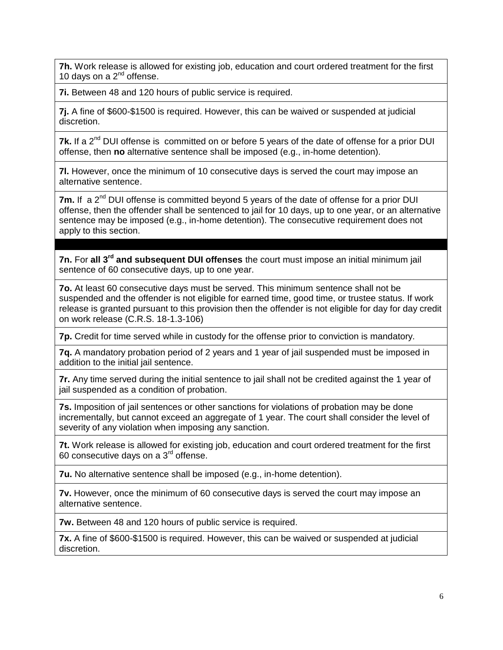**7h.** Work release is allowed for existing job, education and court ordered treatment for the first 10 days on a  $2^{nd}$  offense.

**7i.** Between 48 and 120 hours of public service is required.

**7j.** A fine of \$600-\$1500 is required. However, this can be waived or suspended at judicial discretion.

**7k.** If a 2<sup>nd</sup> DUI offense is committed on or before 5 years of the date of offense for a prior DUI offense, then **no** alternative sentence shall be imposed (e.g., in-home detention).

**7l.** However, once the minimum of 10 consecutive days is served the court may impose an alternative sentence.

**7m.** If a 2<sup>nd</sup> DUI offense is committed beyond 5 years of the date of offense for a prior DUI offense, then the offender shall be sentenced to jail for 10 days, up to one year, or an alternative sentence may be imposed (e.g., in-home detention). The consecutive requirement does not apply to this section.

**7n.** For **all 3rd and subsequent DUI offenses** the court must impose an initial minimum jail sentence of 60 consecutive days, up to one year.

**7o.** At least 60 consecutive days must be served. This minimum sentence shall not be suspended and the offender is not eligible for earned time, good time, or trustee status. If work release is granted pursuant to this provision then the offender is not eligible for day for day credit on work release (C.R.S. 18-1.3-106)

**7p.** Credit for time served while in custody for the offense prior to conviction is mandatory.

**7q.** A mandatory probation period of 2 years and 1 year of jail suspended must be imposed in addition to the initial jail sentence.

**7r.** Any time served during the initial sentence to jail shall not be credited against the 1 year of jail suspended as a condition of probation.

**7s.** Imposition of jail sentences or other sanctions for violations of probation may be done incrementally, but cannot exceed an aggregate of 1 year. The court shall consider the level of severity of any violation when imposing any sanction.

**7t.** Work release is allowed for existing job, education and court ordered treatment for the first 60 consecutive days on a 3rd offense.

**7u.** No alternative sentence shall be imposed (e.g., in-home detention).

**7v.** However, once the minimum of 60 consecutive days is served the court may impose an alternative sentence.

**7w.** Between 48 and 120 hours of public service is required.

**7x.** A fine of \$600-\$1500 is required. However, this can be waived or suspended at judicial discretion.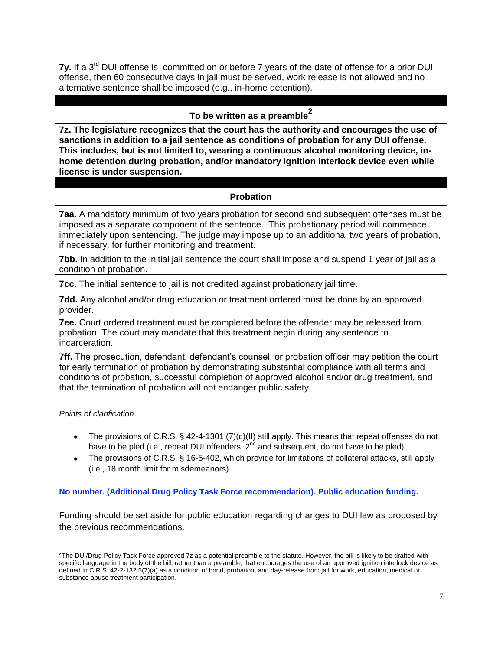**7y.** If a 3<sup>rd</sup> DUI offense is committed on or before 7 years of the date of offense for a prior DUI offense, then 60 consecutive days in jail must be served, work release is not allowed and no alternative sentence shall be imposed (e.g., in-home detention).

# **To be written as a preamble<sup>2</sup>**

**7z. The legislature recognizes that the court has the authority and encourages the use of sanctions in addition to a jail sentence as conditions of probation for any DUI offense. This includes, but is not limited to, wearing a continuous alcohol monitoring device, inhome detention during probation, and/or mandatory ignition interlock device even while license is under suspension.**

#### **Probation**

**7aa.** A mandatory minimum of two years probation for second and subsequent offenses must be imposed as a separate component of the sentence. This probationary period will commence immediately upon sentencing. The judge may impose up to an additional two years of probation, if necessary, for further monitoring and treatment.

**7bb.** In addition to the initial jail sentence the court shall impose and suspend 1 year of jail as a condition of probation.

**7cc.** The initial sentence to jail is not credited against probationary jail time.

**7dd.** Any alcohol and/or drug education or treatment ordered must be done by an approved provider.

**7ee.** Court ordered treatment must be completed before the offender may be released from probation. The court may mandate that this treatment begin during any sentence to incarceration.

**7ff.** The prosecution, defendant, defendant's counsel, or probation officer may petition the court for early termination of probation by demonstrating substantial compliance with all terms and conditions of probation, successful completion of approved alcohol and/or drug treatment, and that the termination of probation will not endanger public safety.

#### *Points of clarification*

 $\overline{\phantom{a}}$ 

- The provisions of C.R.S. § 42-4-1301 (7)(c)(II) still apply. This means that repeat offenses do not have to be pled (i.e., repeat DUI offenders,  $2^{nd}$  and subsequent, do not have to be pled).
- The provisions of C.R.S. § 16-5-402, which provide for limitations of collateral attacks, still apply (i.e., 18 month limit for misdemeanors).

#### **No number. (Additional Drug Policy Task Force recommendation). Public education funding.**

Funding should be set aside for public education regarding changes to DUI law as proposed by the previous recommendations.

**<sup>2</sup>**The DUI/Drug Policy Task Force approved 7z as a potential preamble to the statute. However, the bill is likely to be drafted with specific language in the body of the bill, rather than a preamble, that encourages the use of an approved ignition interlock device as defined in C.R.S. 42-2-132.5(7)(a) as a condition of bond, probation, and day-release from jail for work, education, medical or substance abuse treatment participation.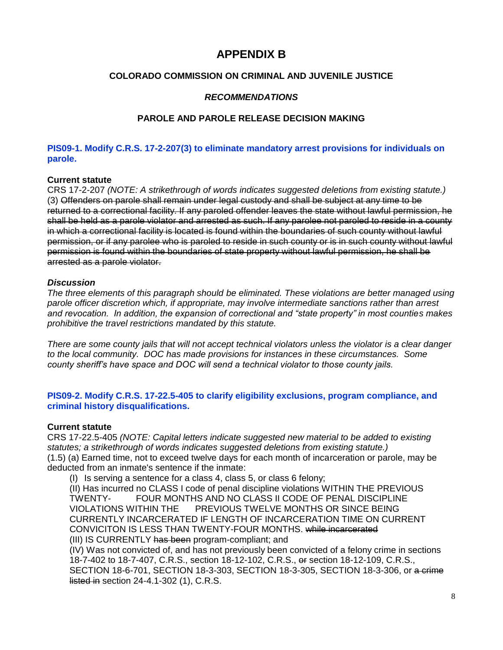# **APPENDIX B**

#### **COLORADO COMMISSION ON CRIMINAL AND JUVENILE JUSTICE**

#### *RECOMMENDATIONS*

#### **PAROLE AND PAROLE RELEASE DECISION MAKING**

#### **PIS09-1. Modify C.R.S. 17-2-207(3) to eliminate mandatory arrest provisions for individuals on parole.**

#### **Current statute**

CRS 17-2-207 *(NOTE: A strikethrough of words indicates suggested deletions from existing statute.)* (3) Offenders on parole shall remain under legal custody and shall be subject at any time to be returned to a correctional facility. If any paroled offender leaves the state without lawful permission, he shall be held as a parole violator and arrested as such. If any parolee not paroled to reside in a county in which a correctional facility is located is found within the boundaries of such county without lawful permission, or if any parolee who is paroled to reside in such county or is in such county without lawful permission is found within the boundaries of state property without lawful permission, he shall be arrested as a parole violator.

#### *Discussion*

*The three elements of this paragraph should be eliminated. These violations are better managed using parole officer discretion which, if appropriate, may involve intermediate sanctions rather than arrest and revocation. In addition, the expansion of correctional and "state property" in most counties makes prohibitive the travel restrictions mandated by this statute.* 

*There are some county jails that will not accept technical violators unless the violator is a clear danger to the local community. DOC has made provisions for instances in these circumstances. Some county sheriff's have space and DOC will send a technical violator to those county jails.*

#### **PIS09-2. Modify C.R.S. 17-22.5-405 to clarify eligibility exclusions, program compliance, and criminal history disqualifications.**

#### **Current statute**

CRS 17-22.5-405 *(NOTE: Capital letters indicate suggested new material to be added to existing statutes; a strikethrough of words indicates suggested deletions from existing statute.)* (1.5) (a) Earned time, not to exceed twelve days for each month of incarceration or parole, may be deducted from an inmate's sentence if the inmate:

(I) Is serving a sentence for a class 4, class 5, or class 6 felony;

(II) Has incurred no CLASS I code of penal discipline violations WITHIN THE PREVIOUS TWENTY- FOUR MONTHS AND NO CLASS II CODE OF PENAL DISCIPLINE VIOLATIONS WITHIN THE PREVIOUS TWELVE MONTHS OR SINCE BEING CURRENTLY INCARCERATED IF LENGTH OF INCARCERATION TIME ON CURRENT CONVICITON IS LESS THAN TWENTY-FOUR MONTHS. while incarcerated (III) IS CURRENTLY has been program-compliant; and

(IV) Was not convicted of, and has not previously been convicted of a felony crime in sections 18-7-402 to 18-7-407, C.R.S., section 18-12-102, C.R.S., or section 18-12-109, C.R.S., SECTION 18-6-701, SECTION 18-3-303, SECTION 18-3-305, SECTION 18-3-306, or a crime listed in section 24-4.1-302 (1), C.R.S.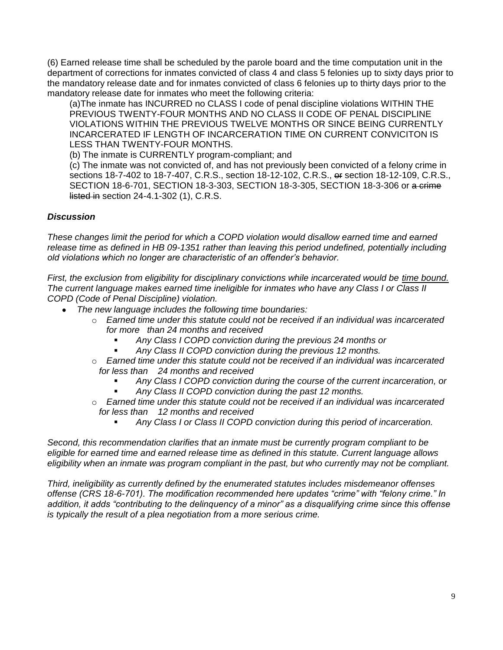(6) Earned release time shall be scheduled by the parole board and the time computation unit in the department of corrections for inmates convicted of class 4 and class 5 felonies up to sixty days prior to the mandatory release date and for inmates convicted of class 6 felonies up to thirty days prior to the mandatory release date for inmates who meet the following criteria:

(a)The inmate has INCURRED no CLASS I code of penal discipline violations WITHIN THE PREVIOUS TWENTY-FOUR MONTHS AND NO CLASS II CODE OF PENAL DISCIPLINE VIOLATIONS WITHIN THE PREVIOUS TWELVE MONTHS OR SINCE BEING CURRENTLY INCARCERATED IF LENGTH OF INCARCERATION TIME ON CURRENT CONVICITON IS LESS THAN TWENTY-FOUR MONTHS.

(b) The inmate is CURRENTLY program-compliant; and

(c) The inmate was not convicted of, and has not previously been convicted of a felony crime in sections 18-7-402 to 18-7-407, C.R.S., section 18-12-102, C.R.S., or section 18-12-109, C.R.S., SECTION 18-6-701, SECTION 18-3-303, SECTION 18-3-305, SECTION 18-3-306 or a crime listed in section 24-4.1-302 (1), C.R.S.

#### *Discussion*

*These changes limit the period for which a COPD violation would disallow earned time and earned release time as defined in HB 09-1351 rather than leaving this period undefined, potentially including old violations which no longer are characteristic of an offender's behavior.* 

*First, the exclusion from eligibility for disciplinary convictions while incarcerated would be time bound. The current language makes earned time ineligible for inmates who have any Class I or Class II COPD (Code of Penal Discipline) violation.* 

- *The new language includes the following time boundaries:*
	- o *Earned time under this statute could not be received if an individual was incarcerated for more than 24 months and received*
		- *Any Class I COPD conviction during the previous 24 months or*
		- *Any Class II COPD conviction during the previous 12 months.*
	- o *Earned time under this statute could not be received if an individual was incarcerated for less than 24 months and received*
		- *Any Class I COPD conviction during the course of the current incarceration, or Any Class II COPD conviction during the past 12 months.*
	- o *Earned time under this statute could not be received if an individual was incarcerated for less than 12 months and received*
		- *Any Class I or Class II COPD conviction during this period of incarceration.*

*Second, this recommendation clarifies that an inmate must be currently program compliant to be eligible for earned time and earned release time as defined in this statute. Current language allows eligibility when an inmate was program compliant in the past, but who currently may not be compliant.*

*Third, ineligibility as currently defined by the enumerated statutes includes misdemeanor offenses offense (CRS 18-6-701). The modification recommended here updates "crime" with "felony crime." In addition, it adds "contributing to the delinquency of a minor" as a disqualifying crime since this offense is typically the result of a plea negotiation from a more serious crime.*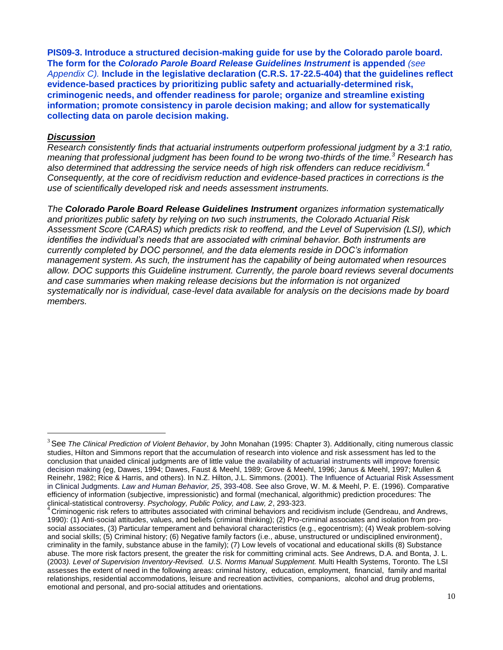**PIS09-3. Introduce a structured decision-making guide for use by the Colorado parole board. The form for the** *Colorado Parole Board Release Guidelines Instrument* **is appended** *(see Appendix C).* **Include in the legislative declaration (C.R.S. 17-22.5-404) that the guidelines reflect evidence-based practices by prioritizing public safety and actuarially-determined risk, criminogenic needs, and offender readiness for parole; organize and streamline existing information; promote consistency in parole decision making; and allow for systematically collecting data on parole decision making.** 

#### *Discussion*

l

*Research consistently finds that actuarial instruments outperform professional judgment by a 3:1 ratio, meaning that professional judgment has been found to be wrong two-thirds of the time.<sup>3</sup> Research has also determined that addressing the service needs of high risk offenders can reduce recidivism.<sup>4</sup> Consequently, at the core of recidivism reduction and evidence-based practices in corrections is the use of scientifically developed risk and needs assessment instruments.* 

*The Colorado Parole Board Release Guidelines Instrument organizes information systematically and prioritizes public safety by relying on two such instruments, the Colorado Actuarial Risk Assessment Score (CARAS) which predicts risk to reoffend, and the Level of Supervision (LSI), which identifies the individual's needs that are associated with criminal behavior. Both instruments are currently completed by DOC personnel, and the data elements reside in DOC's information management system. As such, the instrument has the capability of being automated when resources allow. DOC supports this Guideline instrument. Currently, the parole board reviews several documents and case summaries when making release decisions but the information is not organized systematically nor is individual, case-level data available for analysis on the decisions made by board members.*

<sup>3</sup> See *The Clinical Prediction of Violent Behavior*, by John Monahan (1995: Chapter 3). Additionally, citing numerous classic studies, Hilton and Simmons report that the accumulation of research into violence and risk assessment has led to the conclusion that unaided clinical judgments are of little value the availability of actuarial instruments will improve forensic decision making (eg, Dawes, 1994; Dawes, Faust & Meehl, 1989; Grove & Meehl, 1996; Janus & Meehl, 1997; Mullen & Reinehr, 1982; Rice & Harris, and others). In N.Z. Hilton, J.L. Simmons. (2001). The Influence of Actuarial Risk Assessment in Clinical Judgments. *Law and Human Behavior, 25*, 393-408. See also Grove, W. M. & Meehl, P. E. (1996). Comparative efficiency of information (subjective, impressionistic) and formal (mechanical, algorithmic) prediction procedures: The clinical-statistical controversy. *Psychology, Public Policy, and Law, 2*, 293-323.

<sup>4</sup> Criminogenic risk refers to attributes associated with criminal behaviors and recidivism include (Gendreau, and Andrews, 1990): (1) Anti-social attitudes, values, and beliefs (criminal thinking); (2) Pro-criminal associates and isolation from prosocial associates, (3) Particular temperament and behavioral characteristics (e.g., egocentrism); (4) Weak problem-solving and social skills; (5) Criminal history; (6) Negative family factors (i.e., abuse, unstructured or undisciplined environment), criminality in the family, substance abuse in the family); (7) Low levels of vocational and educational skills (8) Substance abuse. The more risk factors present, the greater the risk for committing criminal acts. See Andrews, D.A. and Bonta, J. L. (2003*). Level of Supervision Inventory-Revised. U.S. Norms Manual Supplement.* Multi Health Systems, Toronto. The LSI assesses the extent of need in the following areas: criminal history, education, employment, financial, family and marital relationships, residential accommodations, leisure and recreation activities, companions, alcohol and drug problems, emotional and personal, and pro-social attitudes and orientations.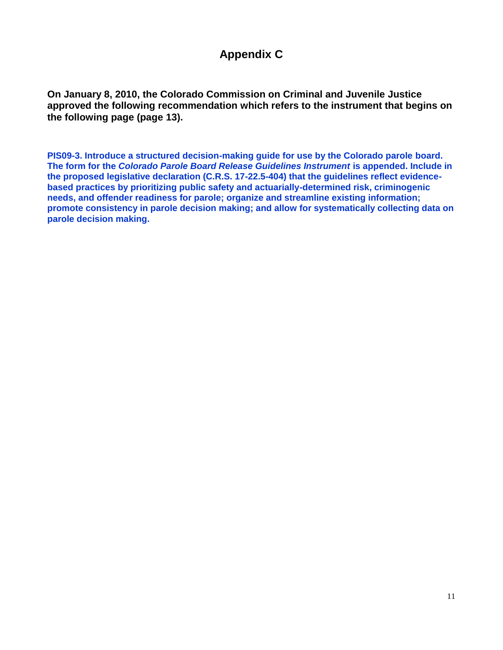# **Appendix C**

**On January 8, 2010, the Colorado Commission on Criminal and Juvenile Justice approved the following recommendation which refers to the instrument that begins on the following page (page 13).**

**PIS09-3. Introduce a structured decision-making guide for use by the Colorado parole board. The form for the** *Colorado Parole Board Release Guidelines Instrument* **is appended. Include in the proposed legislative declaration (C.R.S. 17-22.5-404) that the guidelines reflect evidencebased practices by prioritizing public safety and actuarially-determined risk, criminogenic needs, and offender readiness for parole; organize and streamline existing information; promote consistency in parole decision making; and allow for systematically collecting data on parole decision making.**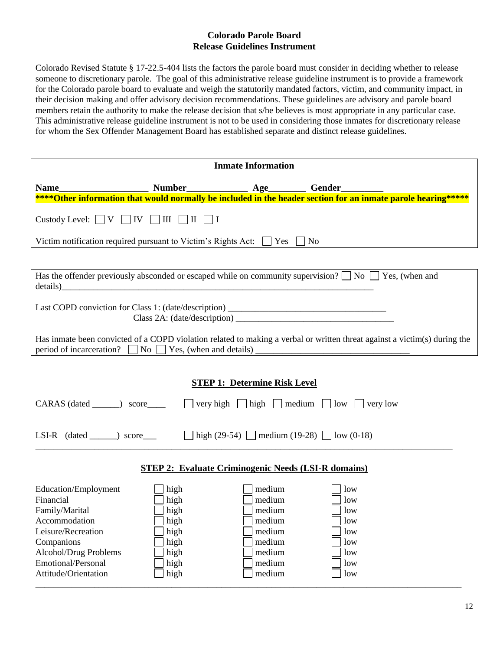#### **Colorado Parole Board Release Guidelines Instrument**

Colorado Revised Statute § 17-22.5-404 lists the factors the parole board must consider in deciding whether to release someone to discretionary parole. The goal of this administrative release guideline instrument is to provide a framework for the Colorado parole board to evaluate and weigh the statutorily mandated factors, victim, and community impact, in their decision making and offer advisory decision recommendations. These guidelines are advisory and parole board members retain the authority to make the release decision that s/he believes is most appropriate in any particular case. This administrative release guideline instrument is not to be used in considering those inmates for discretionary release for whom the Sex Offender Management Board has established separate and distinct release guidelines.

| <b>Inmate Information</b>                                                                                                                                                                                                                   |                                                                      |                                                                                        |                                                             |  |  |  |
|---------------------------------------------------------------------------------------------------------------------------------------------------------------------------------------------------------------------------------------------|----------------------------------------------------------------------|----------------------------------------------------------------------------------------|-------------------------------------------------------------|--|--|--|
|                                                                                                                                                                                                                                             |                                                                      |                                                                                        |                                                             |  |  |  |
| Custody Level: $\Box V$ $\Box IV$ $\Box III$ $\Box II$ $\Box I$                                                                                                                                                                             |                                                                      |                                                                                        |                                                             |  |  |  |
| Victim notification required pursuant to Victim's Rights Act: $\Box$ Yes $\Box$ No                                                                                                                                                          |                                                                      |                                                                                        |                                                             |  |  |  |
|                                                                                                                                                                                                                                             |                                                                      |                                                                                        |                                                             |  |  |  |
| Has the offender previously absconded or escaped while on community supervision? $\Box$ No $\Box$ Yes, (when and                                                                                                                            |                                                                      |                                                                                        |                                                             |  |  |  |
| Last COPD conviction for Class 1: (date/description) ____________________________                                                                                                                                                           |                                                                      |                                                                                        |                                                             |  |  |  |
| Has inmate been convicted of a COPD violation related to making a verbal or written threat against a victim(s) during the                                                                                                                   |                                                                      |                                                                                        |                                                             |  |  |  |
| <b>STEP 1: Determine Risk Level</b><br>CARAS (dated ______) score_____ $\Box$ very high $\Box$ high $\Box$ medium $\Box$ low $\Box$ very low<br>LSI-R (dated ______) score ____ $\Box$ high (29-54) $\Box$ medium (19-28) $\Box$ low (0-18) |                                                                      |                                                                                        |                                                             |  |  |  |
| <b>STEP 2: Evaluate Criminogenic Needs (LSI-R domains)</b>                                                                                                                                                                                  |                                                                      |                                                                                        |                                                             |  |  |  |
| Education/Employment<br>Financial<br>Family/Marital<br>Accommodation<br>Leisure/Recreation<br>Companions<br>Alcohol/Drug Problems<br>Emotional/Personal<br>Attitude/Orientation                                                             | high<br>high<br>high<br>high<br>high<br>high<br>high<br>high<br>high | medium<br>medium<br>medium<br>medium<br>medium<br>medium<br>medium<br>medium<br>medium | low<br>low<br>low<br>low<br>low<br>low<br>low<br>low<br>low |  |  |  |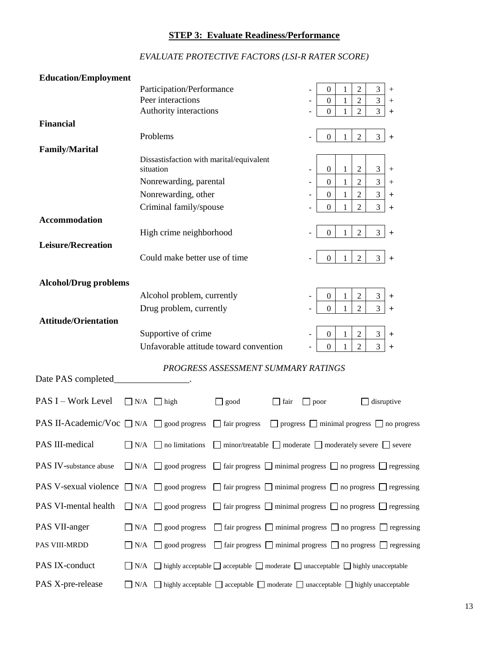## **STEP 3: Evaluate Readiness/Performance**

| <b>Education/Employment</b>                                                                                                               |                                                                                                                           |                                                                 |  |  |
|-------------------------------------------------------------------------------------------------------------------------------------------|---------------------------------------------------------------------------------------------------------------------------|-----------------------------------------------------------------|--|--|
|                                                                                                                                           | Participation/Performance                                                                                                 | $\overline{2}$<br>3<br>0<br>1<br>$^{+}$                         |  |  |
|                                                                                                                                           | Peer interactions                                                                                                         | $\overline{c}$<br>$\mathfrak{Z}$<br>$\mathbf{0}$<br>1<br>$^{+}$ |  |  |
|                                                                                                                                           | Authority interactions                                                                                                    | $\overline{2}$<br>3<br>$\mathbf{0}$<br>1<br>+                   |  |  |
| <b>Financial</b>                                                                                                                          |                                                                                                                           |                                                                 |  |  |
|                                                                                                                                           | Problems                                                                                                                  | $\overline{2}$<br>3<br>$\overline{0}$<br>1<br>$\ddot{}$         |  |  |
| <b>Family/Marital</b>                                                                                                                     |                                                                                                                           |                                                                 |  |  |
|                                                                                                                                           | Dissastisfaction with marital/equivalent                                                                                  |                                                                 |  |  |
|                                                                                                                                           | situation                                                                                                                 | $\overline{c}$<br>3<br>$\mathbf{0}$<br>1<br>$^{+}$              |  |  |
|                                                                                                                                           | Nonrewarding, parental                                                                                                    | $\overline{2}$<br>$\mathfrak 3$<br>1<br>$\theta$<br>$^{+}$      |  |  |
|                                                                                                                                           | Nonrewarding, other                                                                                                       | $\overline{2}$<br>$\mathfrak{Z}$<br>$\boldsymbol{0}$<br>1<br>+  |  |  |
|                                                                                                                                           | Criminal family/spouse                                                                                                    | 2<br>3<br>0<br>+                                                |  |  |
| <b>Accommodation</b>                                                                                                                      |                                                                                                                           |                                                                 |  |  |
|                                                                                                                                           | High crime neighborhood                                                                                                   | $\overline{2}$<br>3<br>$\overline{0}$<br>1<br>$\ddot{}$         |  |  |
| <b>Leisure/Recreation</b>                                                                                                                 |                                                                                                                           |                                                                 |  |  |
|                                                                                                                                           | Could make better use of time                                                                                             | $\overline{2}$<br>3<br>1<br>$\overline{0}$                      |  |  |
|                                                                                                                                           |                                                                                                                           | $\ddot{}$                                                       |  |  |
|                                                                                                                                           |                                                                                                                           |                                                                 |  |  |
| <b>Alcohol/Drug problems</b>                                                                                                              |                                                                                                                           |                                                                 |  |  |
|                                                                                                                                           | Alcohol problem, currently                                                                                                | 2<br>3<br>$\theta$<br>1<br>+                                    |  |  |
|                                                                                                                                           | Drug problem, currently                                                                                                   | $\overline{c}$<br>3<br>$\Omega$<br>+                            |  |  |
| <b>Attitude/Orientation</b>                                                                                                               |                                                                                                                           |                                                                 |  |  |
|                                                                                                                                           | Supportive of crime                                                                                                       | $\ensuremath{\mathfrak{Z}}$<br>2<br>$\overline{0}$<br>1<br>+    |  |  |
|                                                                                                                                           | Unfavorable attitude toward convention                                                                                    | $\overline{2}$<br>3<br>$\Omega$<br>1<br>+                       |  |  |
|                                                                                                                                           |                                                                                                                           |                                                                 |  |  |
|                                                                                                                                           | PROGRESS ASSESSMENT SUMMARY RATINGS                                                                                       |                                                                 |  |  |
| Date PAS completed                                                                                                                        |                                                                                                                           |                                                                 |  |  |
|                                                                                                                                           |                                                                                                                           |                                                                 |  |  |
| PAS I - Work Level                                                                                                                        | $\Box$ N/A<br>$\Box$ high<br>$\Box$ good<br>  fair<br>$\Box$ poor                                                         | disruptive                                                      |  |  |
| <b>PAS II-Academic/Voc</b> $\Box$ N/A $\Box$ good progress                                                                                | $\Box$ fair progress                                                                                                      |                                                                 |  |  |
|                                                                                                                                           |                                                                                                                           | $\Box$ progress $\Box$ minimal progress $\Box$ no progress      |  |  |
| PAS III-medical                                                                                                                           | $\rm N/A$<br>$\Box$ minor/treatable $\Box$ moderate $\Box$ moderately severe $\Box$ severe<br>no limitations              |                                                                 |  |  |
|                                                                                                                                           |                                                                                                                           |                                                                 |  |  |
| PAS IV-substance abuse                                                                                                                    | $\Box$ N/A<br>$\Box$ good progress $\Box$ fair progress $\Box$ minimal progress $\Box$ no progress $\Box$ regressing      |                                                                 |  |  |
|                                                                                                                                           |                                                                                                                           |                                                                 |  |  |
| <b>PAS V-sexual violence</b> $\Box$ N/A $\Box$ good progress                                                                              | $\Box$ fair progress $\Box$ minimal progress $\Box$ no progress $\Box$ regressing                                         |                                                                 |  |  |
| PAS VI-mental health                                                                                                                      |                                                                                                                           |                                                                 |  |  |
|                                                                                                                                           | $\Box$ N/A<br>$\Box$ fair progress $\Box$ minimal progress $\Box$ no progress $\Box$ regressing<br>$\Box$ good progress   |                                                                 |  |  |
| PAS VII-anger                                                                                                                             | $\Box$ fair progress $\Box$ minimal progress $\Box$ no progress $\Box$ regressing<br>N/A<br>$\Box$ good progress          |                                                                 |  |  |
|                                                                                                                                           |                                                                                                                           |                                                                 |  |  |
| PAS VIII-MRDD                                                                                                                             | $\Box$ fair progress $\Box$ minimal progress $\Box$ no progress $\Box$ regressing<br>$\neg N/A \neg \text{good progress}$ |                                                                 |  |  |
|                                                                                                                                           |                                                                                                                           |                                                                 |  |  |
| PAS IX-conduct<br>$\Box$ N/A $\Box$ highly acceptable $\Box$ acceptable $\Box$ moderate $\Box$ unacceptable $\Box$ highly unacceptable    |                                                                                                                           |                                                                 |  |  |
| PAS X-pre-release<br>$\Box$ N/A $\Box$ highly acceptable $\Box$ acceptable $\Box$ moderate $\Box$ unacceptable $\Box$ highly unacceptable |                                                                                                                           |                                                                 |  |  |

## *EVALUATE PROTECTIVE FACTORS (LSI-R RATER SCORE)*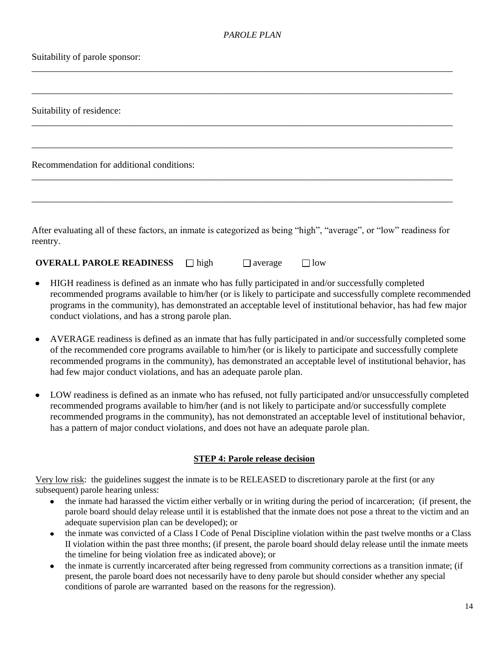\_\_\_\_\_\_\_\_\_\_\_\_\_\_\_\_\_\_\_\_\_\_\_\_\_\_\_\_\_\_\_\_\_\_\_\_\_\_\_\_\_\_\_\_\_\_\_\_\_\_\_\_\_\_\_\_\_\_\_\_\_\_\_\_\_\_\_\_\_\_\_\_\_\_\_\_\_\_\_\_\_\_\_\_\_\_\_\_\_

\_\_\_\_\_\_\_\_\_\_\_\_\_\_\_\_\_\_\_\_\_\_\_\_\_\_\_\_\_\_\_\_\_\_\_\_\_\_\_\_\_\_\_\_\_\_\_\_\_\_\_\_\_\_\_\_\_\_\_\_\_\_\_\_\_\_\_\_\_\_\_\_\_\_\_\_\_\_\_\_\_\_\_\_\_\_\_\_\_

\_\_\_\_\_\_\_\_\_\_\_\_\_\_\_\_\_\_\_\_\_\_\_\_\_\_\_\_\_\_\_\_\_\_\_\_\_\_\_\_\_\_\_\_\_\_\_\_\_\_\_\_\_\_\_\_\_\_\_\_\_\_\_\_\_\_\_\_\_\_\_\_\_\_\_\_\_\_\_\_\_\_\_\_\_\_\_\_\_

\_\_\_\_\_\_\_\_\_\_\_\_\_\_\_\_\_\_\_\_\_\_\_\_\_\_\_\_\_\_\_\_\_\_\_\_\_\_\_\_\_\_\_\_\_\_\_\_\_\_\_\_\_\_\_\_\_\_\_\_\_\_\_\_\_\_\_\_\_\_\_\_\_\_\_\_\_\_\_\_\_\_\_\_\_\_\_\_\_

\_\_\_\_\_\_\_\_\_\_\_\_\_\_\_\_\_\_\_\_\_\_\_\_\_\_\_\_\_\_\_\_\_\_\_\_\_\_\_\_\_\_\_\_\_\_\_\_\_\_\_\_\_\_\_\_\_\_\_\_\_\_\_\_\_\_\_\_\_\_\_\_\_\_\_\_\_\_\_\_\_\_\_\_\_\_\_\_\_

\_\_\_\_\_\_\_\_\_\_\_\_\_\_\_\_\_\_\_\_\_\_\_\_\_\_\_\_\_\_\_\_\_\_\_\_\_\_\_\_\_\_\_\_\_\_\_\_\_\_\_\_\_\_\_\_\_\_\_\_\_\_\_\_\_\_\_\_\_\_\_\_\_\_\_\_\_\_\_\_\_\_\_\_\_\_\_\_\_

#### Suitability of parole sponsor:

Suitability of residence:

Recommendation for additional conditions:

After evaluating all of these factors, an inmate is categorized as being "high", "average", or "low" readiness for reentry.

**OVERALL PAROLE READINESS**  $\Box$  high  $\Box$  average  $\Box$  low

- $\bullet$ HIGH readiness is defined as an inmate who has fully participated in and/or successfully completed recommended programs available to him/her (or is likely to participate and successfully complete recommended programs in the community), has demonstrated an acceptable level of institutional behavior, has had few major conduct violations, and has a strong parole plan.
- AVERAGE readiness is defined as an inmate that has fully participated in and/or successfully completed some  $\bullet$ of the recommended core programs available to him/her (or is likely to participate and successfully complete recommended programs in the community), has demonstrated an acceptable level of institutional behavior, has had few major conduct violations, and has an adequate parole plan.
- LOW readiness is defined as an inmate who has refused, not fully participated and/or unsuccessfully completed  $\bullet$ recommended programs available to him/her (and is not likely to participate and/or successfully complete recommended programs in the community), has not demonstrated an acceptable level of institutional behavior, has a pattern of major conduct violations, and does not have an adequate parole plan.

#### **STEP 4: Parole release decision**

Very low risk: the guidelines suggest the inmate is to be RELEASED to discretionary parole at the first (or any subsequent) parole hearing unless:

- the inmate had harassed the victim either verbally or in writing during the period of incarceration; (if present, the  $\bullet$ parole board should delay release until it is established that the inmate does not pose a threat to the victim and an adequate supervision plan can be developed); or
- the inmate was convicted of a Class I Code of Penal Discipline violation within the past twelve months or a Class  $\bullet$ II violation within the past three months; (if present, the parole board should delay release until the inmate meets the timeline for being violation free as indicated above); or
- the inmate is currently incarcerated after being regressed from community corrections as a transition inmate; (if  $\bullet$ present, the parole board does not necessarily have to deny parole but should consider whether any special conditions of parole are warranted based on the reasons for the regression).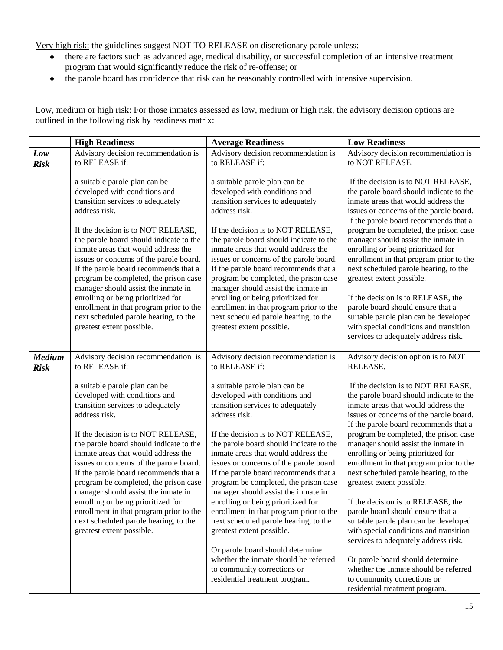Very high risk: the guidelines suggest NOT TO RELEASE on discretionary parole unless:

- there are factors such as advanced age, medical disability, or successful completion of an intensive treatment  $\bullet$  . program that would significantly reduce the risk of re-offense; or
- the parole board has confidence that risk can be reasonably controlled with intensive supervision.

Low, medium or high risk: For those inmates assessed as low, medium or high risk, the advisory decision options are outlined in the following risk by readiness matrix:

|               | <b>High Readiness</b>                                                          | <b>Average Readiness</b>                                                         | <b>Low Readiness</b>                                                             |
|---------------|--------------------------------------------------------------------------------|----------------------------------------------------------------------------------|----------------------------------------------------------------------------------|
| Low           | Advisory decision recommendation is                                            | Advisory decision recommendation is                                              | Advisory decision recommendation is                                              |
| <b>Risk</b>   | to RELEASE if:                                                                 | to RELEASE if:                                                                   | to NOT RELEASE.                                                                  |
|               | a suitable parole plan can be                                                  | a suitable parole plan can be                                                    | If the decision is to NOT RELEASE,                                               |
|               | developed with conditions and                                                  | developed with conditions and                                                    | the parole board should indicate to the                                          |
|               | transition services to adequately                                              | transition services to adequately                                                | inmate areas that would address the                                              |
|               | address risk.                                                                  | address risk.                                                                    | issues or concerns of the parole board.                                          |
|               | If the decision is to NOT RELEASE,                                             | If the decision is to NOT RELEASE,                                               | If the parole board recommends that a<br>program be completed, the prison case   |
|               | the parole board should indicate to the                                        | the parole board should indicate to the                                          | manager should assist the inmate in                                              |
|               | inmate areas that would address the                                            | inmate areas that would address the                                              | enrolling or being prioritized for                                               |
|               | issues or concerns of the parole board.                                        | issues or concerns of the parole board.                                          | enrollment in that program prior to the                                          |
|               | If the parole board recommends that a                                          | If the parole board recommends that a                                            | next scheduled parole hearing, to the                                            |
|               | program be completed, the prison case                                          | program be completed, the prison case                                            | greatest extent possible.                                                        |
|               | manager should assist the inmate in<br>enrolling or being prioritized for      | manager should assist the inmate in<br>enrolling or being prioritized for        | If the decision is to RELEASE, the                                               |
|               | enrollment in that program prior to the                                        | enrollment in that program prior to the                                          | parole board should ensure that a                                                |
|               | next scheduled parole hearing, to the                                          | next scheduled parole hearing, to the                                            | suitable parole plan can be developed                                            |
|               | greatest extent possible.                                                      | greatest extent possible.                                                        | with special conditions and transition                                           |
|               |                                                                                |                                                                                  | services to adequately address risk.                                             |
| <b>Medium</b> | Advisory decision recommendation is                                            | Advisory decision recommendation is                                              | Advisory decision option is to NOT                                               |
| <b>Risk</b>   | to RELEASE if:                                                                 | to RELEASE if:                                                                   | RELEASE.                                                                         |
|               |                                                                                |                                                                                  |                                                                                  |
|               | a suitable parole plan can be                                                  | a suitable parole plan can be                                                    | If the decision is to NOT RELEASE,                                               |
|               | developed with conditions and                                                  | developed with conditions and                                                    | the parole board should indicate to the                                          |
|               | transition services to adequately<br>address risk.                             | transition services to adequately<br>address risk.                               | inmate areas that would address the<br>issues or concerns of the parole board.   |
|               |                                                                                |                                                                                  | If the parole board recommends that a                                            |
|               | If the decision is to NOT RELEASE,                                             | If the decision is to NOT RELEASE,                                               | program be completed, the prison case                                            |
|               | the parole board should indicate to the                                        | the parole board should indicate to the                                          | manager should assist the inmate in                                              |
|               | inmate areas that would address the                                            | inmate areas that would address the                                              | enrolling or being prioritized for                                               |
|               | issues or concerns of the parole board.                                        | issues or concerns of the parole board.<br>If the parole board recommends that a | enrollment in that program prior to the<br>next scheduled parole hearing, to the |
|               | If the parole board recommends that a<br>program be completed, the prison case | program be completed, the prison case                                            | greatest extent possible.                                                        |
|               | manager should assist the inmate in                                            | manager should assist the inmate in                                              |                                                                                  |
|               | enrolling or being prioritized for                                             | enrolling or being prioritized for                                               | If the decision is to RELEASE, the                                               |
|               | enrollment in that program prior to the                                        | enrollment in that program prior to the                                          | parole board should ensure that a                                                |
|               | next scheduled parole hearing, to the                                          | next scheduled parole hearing, to the                                            | suitable parole plan can be developed                                            |
|               | greatest extent possible.                                                      | greatest extent possible.                                                        | with special conditions and transition                                           |
|               |                                                                                | Or parole board should determine                                                 | services to adequately address risk.                                             |
|               |                                                                                | whether the inmate should be referred                                            | Or parole board should determine                                                 |
|               |                                                                                | to community corrections or                                                      | whether the inmate should be referred                                            |
|               |                                                                                | residential treatment program.                                                   | to community corrections or                                                      |
|               |                                                                                |                                                                                  | residential treatment program.                                                   |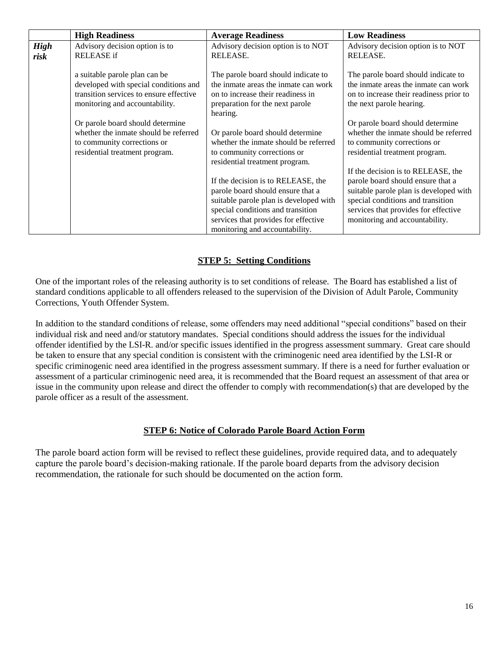|             | <b>High Readiness</b>                   | <b>Average Readiness</b>                                                                                                                                                                                                                                                                          | <b>Low Readiness</b>                                                                                                                                                                                                                                               |
|-------------|-----------------------------------------|---------------------------------------------------------------------------------------------------------------------------------------------------------------------------------------------------------------------------------------------------------------------------------------------------|--------------------------------------------------------------------------------------------------------------------------------------------------------------------------------------------------------------------------------------------------------------------|
| <b>High</b> | Advisory decision option is to          | Advisory decision option is to NOT                                                                                                                                                                                                                                                                | Advisory decision option is to NOT                                                                                                                                                                                                                                 |
| risk        | <b>RELEASE</b> if                       | RELEASE.                                                                                                                                                                                                                                                                                          | RELEASE.                                                                                                                                                                                                                                                           |
|             | a suitable parole plan can be           | The parole board should indicate to                                                                                                                                                                                                                                                               | The parole board should indicate to                                                                                                                                                                                                                                |
|             | developed with special conditions and   | the inmate areas the inmate can work                                                                                                                                                                                                                                                              | the inmate areas the inmate can work                                                                                                                                                                                                                               |
|             | transition services to ensure effective | on to increase their readiness in                                                                                                                                                                                                                                                                 | on to increase their readiness prior to                                                                                                                                                                                                                            |
|             | monitoring and accountability.          | preparation for the next parole                                                                                                                                                                                                                                                                   | the next parole hearing.                                                                                                                                                                                                                                           |
|             | Or parole board should determine        | hearing.                                                                                                                                                                                                                                                                                          | Or parole board should determine                                                                                                                                                                                                                                   |
|             | whether the inmate should be referred   | Or parole board should determine                                                                                                                                                                                                                                                                  | whether the inmate should be referred                                                                                                                                                                                                                              |
|             | to community corrections or             | whether the inmate should be referred                                                                                                                                                                                                                                                             | to community corrections or                                                                                                                                                                                                                                        |
|             | residential treatment program.          | to community corrections or<br>residential treatment program.<br>If the decision is to RELEASE, the<br>parole board should ensure that a<br>suitable parole plan is developed with<br>special conditions and transition<br>services that provides for effective<br>monitoring and accountability. | residential treatment program.<br>If the decision is to RELEASE, the<br>parole board should ensure that a<br>suitable parole plan is developed with<br>special conditions and transition<br>services that provides for effective<br>monitoring and accountability. |

### **STEP 5: Setting Conditions**

One of the important roles of the releasing authority is to set conditions of release. The Board has established a list of standard conditions applicable to all offenders released to the supervision of the Division of Adult Parole, Community Corrections, Youth Offender System.

In addition to the standard conditions of release, some offenders may need additional "special conditions" based on their individual risk and need and/or statutory mandates. Special conditions should address the issues for the individual offender identified by the LSI-R. and/or specific issues identified in the progress assessment summary. Great care should be taken to ensure that any special condition is consistent with the criminogenic need area identified by the LSI-R or specific criminogenic need area identified in the progress assessment summary. If there is a need for further evaluation or assessment of a particular criminogenic need area, it is recommended that the Board request an assessment of that area or issue in the community upon release and direct the offender to comply with recommendation(s) that are developed by the parole officer as a result of the assessment.

#### **STEP 6: Notice of Colorado Parole Board Action Form**

The parole board action form will be revised to reflect these guidelines, provide required data, and to adequately capture the parole board's decision-making rationale. If the parole board departs from the advisory decision recommendation, the rationale for such should be documented on the action form.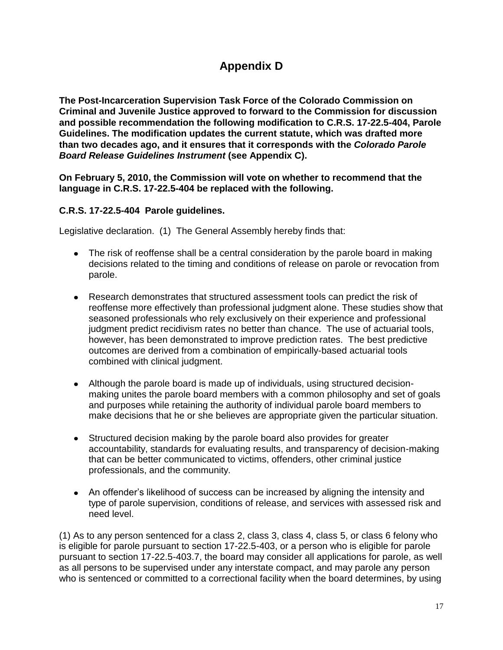# **Appendix D**

**The Post-Incarceration Supervision Task Force of the Colorado Commission on Criminal and Juvenile Justice approved to forward to the Commission for discussion and possible recommendation the following modification to C.R.S. 17-22.5-404, Parole Guidelines. The modification updates the current statute, which was drafted more than two decades ago, and it ensures that it corresponds with the** *Colorado Parole Board Release Guidelines Instrument* **(see Appendix C).**

**On February 5, 2010, the Commission will vote on whether to recommend that the language in C.R.S. 17-22.5-404 be replaced with the following.** 

## **C.R.S. 17-22.5-404 Parole guidelines.**

Legislative declaration. (1) The General Assembly hereby finds that:

- The risk of reoffense shall be a central consideration by the parole board in making decisions related to the timing and conditions of release on parole or revocation from parole.
- Research demonstrates that structured assessment tools can predict the risk of reoffense more effectively than professional judgment alone. These studies show that seasoned professionals who rely exclusively on their experience and professional judgment predict recidivism rates no better than chance. The use of actuarial tools, however, has been demonstrated to improve prediction rates. The best predictive outcomes are derived from a combination of empirically-based actuarial tools combined with clinical judgment.
- Although the parole board is made up of individuals, using structured decisionmaking unites the parole board members with a common philosophy and set of goals and purposes while retaining the authority of individual parole board members to make decisions that he or she believes are appropriate given the particular situation.
- Structured decision making by the parole board also provides for greater accountability, standards for evaluating results, and transparency of decision-making that can be better communicated to victims, offenders, other criminal justice professionals, and the community.
- An offender's likelihood of success can be increased by aligning the intensity and type of parole supervision, conditions of release, and services with assessed risk and need level.

(1) As to any person sentenced for a class 2, class 3, class 4, class 5, or class 6 felony who is eligible for parole pursuant to section 17-22.5-403, or a person who is eligible for parole pursuant to section 17-22.5-403.7, the board may consider all applications for parole, as well as all persons to be supervised under any interstate compact, and may parole any person who is sentenced or committed to a correctional facility when the board determines, by using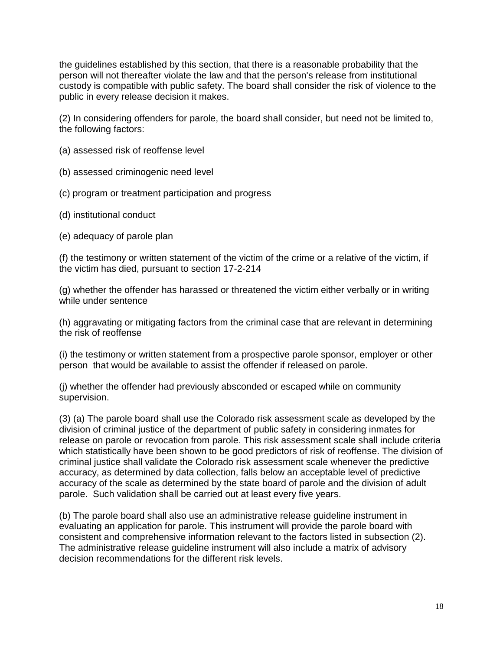the guidelines established by this section, that there is a reasonable probability that the person will not thereafter violate the law and that the person's release from institutional custody is compatible with public safety. The board shall consider the risk of violence to the public in every release decision it makes.

(2) In considering offenders for parole, the board shall consider, but need not be limited to, the following factors:

- (a) assessed risk of reoffense level
- (b) assessed criminogenic need level
- (c) program or treatment participation and progress
- (d) institutional conduct
- (e) adequacy of parole plan

(f) the testimony or written statement of the victim of the crime or a relative of the victim, if the victim has died, pursuant to section 17-2-214

(g) whether the offender has harassed or threatened the victim either verbally or in writing while under sentence

(h) aggravating or mitigating factors from the criminal case that are relevant in determining the risk of reoffense

(i) the testimony or written statement from a prospective parole sponsor, employer or other person that would be available to assist the offender if released on parole.

(j) whether the offender had previously absconded or escaped while on community supervision.

(3) (a) The parole board shall use the Colorado risk assessment scale as developed by the division of criminal justice of the department of public safety in considering inmates for release on parole or revocation from parole. This risk assessment scale shall include criteria which statistically have been shown to be good predictors of risk of reoffense. The division of criminal justice shall validate the Colorado risk assessment scale whenever the predictive accuracy, as determined by data collection, falls below an acceptable level of predictive accuracy of the scale as determined by the state board of parole and the division of adult parole. Such validation shall be carried out at least every five years.

(b) The parole board shall also use an administrative release guideline instrument in evaluating an application for parole. This instrument will provide the parole board with consistent and comprehensive information relevant to the factors listed in subsection (2). The administrative release guideline instrument will also include a matrix of advisory decision recommendations for the different risk levels.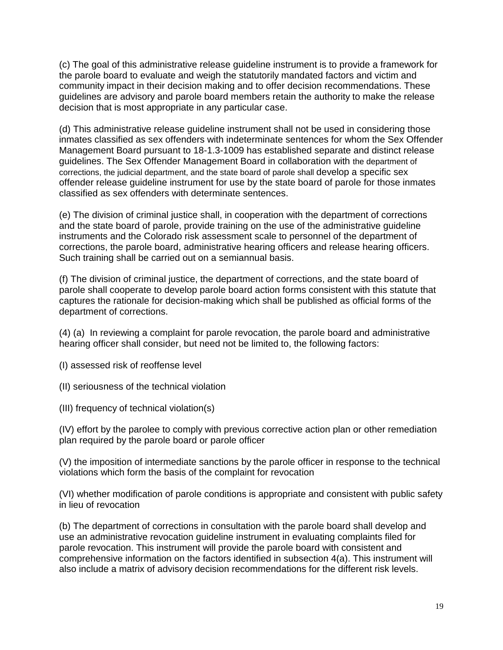(c) The goal of this administrative release guideline instrument is to provide a framework for the parole board to evaluate and weigh the statutorily mandated factors and victim and community impact in their decision making and to offer decision recommendations. These guidelines are advisory and parole board members retain the authority to make the release decision that is most appropriate in any particular case.

(d) This administrative release guideline instrument shall not be used in considering those inmates classified as sex offenders with indeterminate sentences for whom the Sex Offender Management Board pursuant to 18-1.3-1009 has established separate and distinct release guidelines. The Sex Offender Management Board in collaboration with the department of corrections, the judicial department, and the state board of parole shall develop a specific sex offender release guideline instrument for use by the state board of parole for those inmates classified as sex offenders with determinate sentences.

(e) The division of criminal justice shall, in cooperation with the department of corrections and the state board of parole, provide training on the use of the administrative guideline instruments and the Colorado risk assessment scale to personnel of the department of corrections, the parole board, administrative hearing officers and release hearing officers. Such training shall be carried out on a semiannual basis.

(f) The division of criminal justice, the department of corrections, and the state board of parole shall cooperate to develop parole board action forms consistent with this statute that captures the rationale for decision-making which shall be published as official forms of the department of corrections.

(4) (a) In reviewing a complaint for parole revocation, the parole board and administrative hearing officer shall consider, but need not be limited to, the following factors:

(I) assessed risk of reoffense level

(II) seriousness of the technical violation

(III) frequency of technical violation(s)

(IV) effort by the parolee to comply with previous corrective action plan or other remediation plan required by the parole board or parole officer

(V) the imposition of intermediate sanctions by the parole officer in response to the technical violations which form the basis of the complaint for revocation

(VI) whether modification of parole conditions is appropriate and consistent with public safety in lieu of revocation

(b) The department of corrections in consultation with the parole board shall develop and use an administrative revocation guideline instrument in evaluating complaints filed for parole revocation. This instrument will provide the parole board with consistent and comprehensive information on the factors identified in subsection 4(a). This instrument will also include a matrix of advisory decision recommendations for the different risk levels.